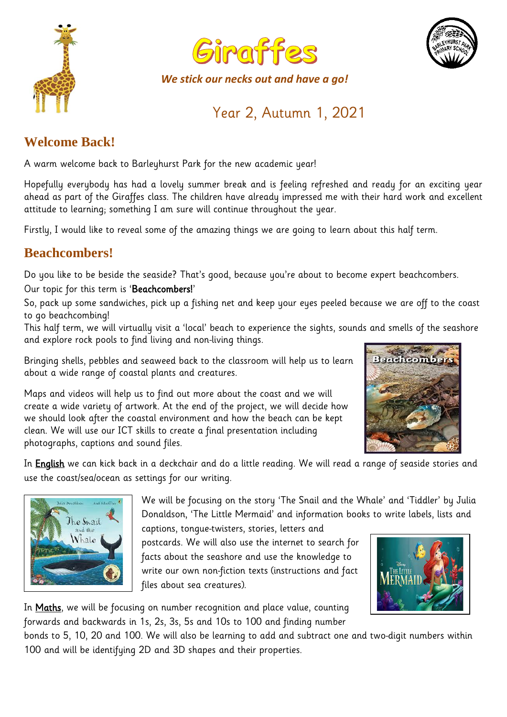



*We stick our necks out and have a go!*



# Year 2, Autumn 1, 2021

# **Welcome Back!**

A warm welcome back to Barleyhurst Park for the new academic year!

Hopefully everybody has had a lovely summer break and is feeling refreshed and ready for an exciting year ahead as part of the Giraffes class. The children have already impressed me with their hard work and excellent attitude to learning; something I am sure will continue throughout the year.

Firstly, I would like to reveal some of the amazing things we are going to learn about this half term.

### **Beachcombers!**

Do you like to be beside the seaside? That's good, because you're about to become expert beachcombers.

Our topic for this term is 'Beachcombers!'

So, pack up some sandwiches, pick up a fishing net and keep your eyes peeled because we are off to the coast to go beachcombing!

This half term, we will virtually visit a 'local' beach to experience the sights, sounds and smells of the seashore and explore rock pools to find living and non-living things.

Bringing shells, pebbles and seaweed back to the classroom will help us to learn about a wide range of coastal plants and creatures.

Maps and videos will help us to find out more about the coast and we will create a wide variety of artwork. At the end of the project, we will decide how we should look after the coastal environment and how the beach can be kept clean. We will use our ICT skills to create a final presentation including photographs, captions and sound files.



In English we can kick back in a deckchair and do a little reading. We will read a range of seaside stories and use the coast/sea/ocean as settings for our writing.



We will be focusing on the story 'The Snail and the Whale' and 'Tiddler' by Julia Donaldson, 'The Little Mermaid' and information books to write labels, lists and

captions, tongue-twisters, stories, letters and postcards. We will also use the internet to search for facts about the seashore and use the knowledge to write our own non-fiction texts (instructions and fact files about sea creatures).



In Maths, we will be focusing on number recognition and place value, counting forwards and backwards in 1s, 2s, 3s, 5s and 10s to 100 and finding number

bonds to 5, 10, 20 and 100. We will also be learning to add and subtract one and two-digit numbers within 100 and will be identifying 2D and 3D shapes and their properties.